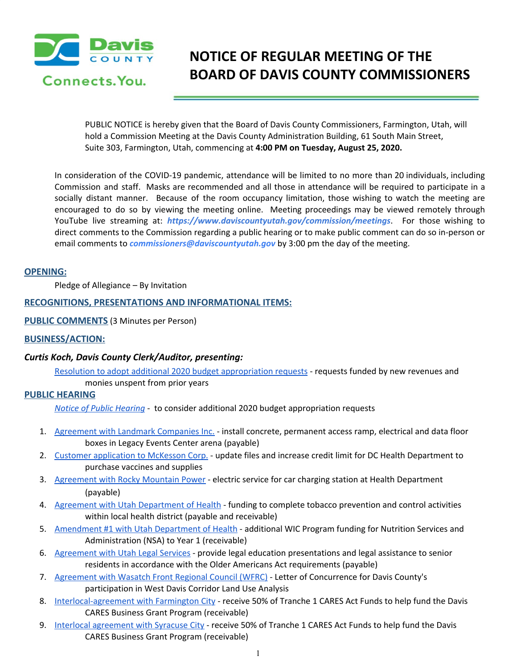

# **NOTICE OF REGULAR MEETING OF THE BOARD OF DAVIS COUNTY COMMISSIONERS**

PUBLIC NOTICE is hereby given that the Board of Davis County Commissioners, Farmington, Utah, will hold a Commission Meeting at the Davis County Administration Building, 61 South Main Street, Suite 303, Farmington, Utah, commencing at **4:00 PM on Tuesday, August 25, 2020.**

In consideration of the COVID-19 pandemic, attendance will be limited to no more than 20 individuals, including Commission and staff. Masks are recommended and all those in attendance will be required to participate in a socially distant manner. Because of the room occupancy limitation, those wishing to watch the meeting are encouraged to do so by viewing the meeting online. Meeting proceedings may be viewed remotely through YouTube live streaming at: *https://www.daviscountyutah.gov/commission/meetings*. For those wishing to direct comments to the Commission regarding a public hearing or to make public comment can do so in-person or email comments to *commissioners@daviscountyutah.gov* by 3:00 pm the day of the meeting.

#### **OPENING:**

Pledge of Allegiance – By Invitation

#### **RECOGNITIONS, PRESENTATIONS AND INFORMATIONAL ITEMS:**

**PUBLIC COMMENTS** (3 Minutes per Person)

#### **BUSINESS/ACTION:**

#### *Curtis Koch, Davis County Clerk/Auditor, presenting:*

Resolution to adopt additional 2020 budget [appropriation](https://drive.google.com/file/d/1s4nLvdOk_fedVxERAUvZHlhdzQHL97Kw/view?usp=drivesdk) requests - requests funded by new revenues and monies unspent from prior years

#### **PUBLIC HEARING**

*Notice of Public [Hearing](https://drive.google.com/file/d/1VcFtaJSVuPm9g_K5XIreKPBXjdROBpEl/view?usp=drivesdk)* - to consider additional 2020 budget appropriation requests

- 1. [Agreement](https://drive.google.com/file/d/1sqmnJc4uW4r5_N16Ov1fiYn9-F2kRcmt/view?usp=drivesdk) with Landmark Companies Inc. install concrete, permanent access ramp, electrical and data floor boxes in Legacy Events Center arena (payable)
- 2. Customer [application](https://drive.google.com/file/d/1cXipUGCfrNnHdfXi8eb-SstdHMQjw5Tz/view?usp=drivesdk) to McKesson Corp. update files and increase credit limit for DC Health Department to purchase vaccines and supplies
- 3. [Agreement](https://drive.google.com/file/d/1FPwFcCMzK7YjpfnzvaSrHj6HX-JayGwO/view?usp=drivesdk) with Rocky Mountain Power electric service for car charging station at Health Department (payable)
- 4. Agreement with Utah [Department](https://drive.google.com/file/d/14oSm1WssDrpHqAziPz9iaMLgtCO2y9Le/view?usp=drivesdk) of Health funding to complete tobacco prevention and control activities within local health district (payable and receivable)
- 5. [Amendment](https://drive.google.com/file/d/1n53ApnSqiCbJwiY-JYZKxTDDMKzUtLIO/view?usp=drivesdk) #1 with Utah Department of Health additional WIC Program funding for Nutrition Services and Administration (NSA) to Year 1 (receivable)
- 6. [Agreement](https://drive.google.com/file/d/16R46NwcBEjkfqoqtMC6ryYYoXAZJAm6Y/view?usp=drivesdk) with Utah Legal Services provide legal education presentations and legal assistance to senior residents in accordance with the Older Americans Act requirements (payable)
- 7. [Agreement](https://drive.google.com/file/d/1xe2LxKMIf__vG9s_DzCY2HNPBBVfUMX9/view?usp=drivesdk) with Wasatch Front Regional Council (WFRC) Letter of Concurrence for Davis County's participation in West Davis Corridor Land Use Analysis
- 8. [Interlocal-agreement](https://drive.google.com/file/d/1LRZuF50eIx3I1_7ewXv9ARrYMXYkA0-m/view?usp=drivesdk) with Farmington City receive 50% of Tranche 1 CARES Act Funds to help fund the Davis CARES Business Grant Program (receivable)
- 9. Interlocal [agreement](https://drive.google.com/file/d/1Z6M9XoeTrt0L-a3kZYL1B06Y-hdOTlEK/view?usp=drivesdk) with Syracuse City receive 50% of Tranche 1 CARES Act Funds to help fund the Davis CARES Business Grant Program (receivable)